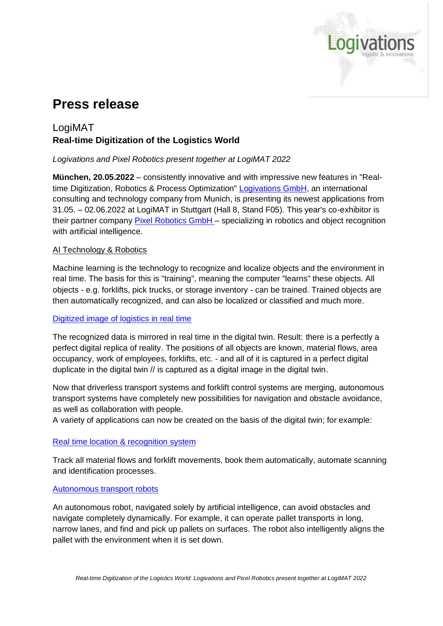

# **Press release**

# LogiMAT **Real-time Digitization of the Logistics World**

## *Logivations and Pixel Robotics present together at LogiMAT 2022*

**München, 20.05.2022** – consistently innovative and with impressive new features in "Realtime Digitization, Robotics & Process Optimization" [Logivations GmbH,](https://www.logivations.com/en) an international consulting and technology company from Munich, is presenting its newest applications from 31.05. – 02.06.2022 at LogiMAT in Stuttgart (Hall 8, Stand F05). This year's co-exhibitor is their partner company [Pixel Robotics GmbH](https://www.pixel-robotics.eu/) - specializing in robotics and object recognition with artificial intelligence.

### AI Technology & Robotics

Machine learning is the technology to recognize and localize objects and the environment in real time. The basis for this is "training", meaning the computer "learns" these objects. All objects - e.g. forklifts, pick trucks, or storage inventory - can be trained. Trained objects are then automatically recognized, and can also be localized or classified and much more.

### [Digitized image of logistics in real time](https://www.logivations.com/en/solutions/plan/logistics_planning.php)

The recognized data is mirrored in real time in the digital twin. Result: there is a perfectly a perfect digital replica of reality. The positions of all objects are known, material flows, area occupancy, work of employees, forklifts, etc. - and all of it is captured in a perfect digital duplicate in the digital twin // is captured as a digital image in the digital twin.

Now that driverless transport systems and forklift control systems are merging, autonomous transport systems have completely new possibilities for navigation and obstacle avoidance, as well as collaboration with people.

A variety of applications can now be created on the basis of the digital twin; for example:

### [Real time location & recognition system](https://www.logivations.com/en/solutions/agv/camera_based_rtls.php)

Track all material flows and forklift movements, book them automatically, automate scanning and identification processes.

### [Autonomous transport robots](https://www.logivations.com/en/solutions/agv/ai_guided_transport_robots.php)

An autonomous robot, navigated solely by artificial intelligence, can avoid obstacles and navigate completely dynamically. For example, it can operate pallet transports in long, narrow lanes, and find and pick up pallets on surfaces. The robot also intelligently aligns the pallet with the environment when it is set down.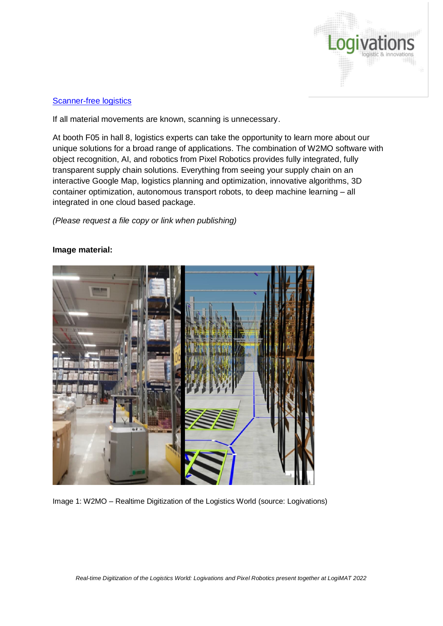

#### **[Scanner-free logistics](https://www.logivations.com/en/solutions/agv/camera_identification.php)**

If all material movements are known, scanning is unnecessary.

At booth F05 in hall 8, logistics experts can take the opportunity to learn more about our unique solutions for a broad range of applications. The combination of W2MO software with object recognition, AI, and robotics from Pixel Robotics provides fully integrated, fully transparent supply chain solutions. Everything from seeing your supply chain on an interactive Google Map, logistics planning and optimization, innovative algorithms, 3D container optimization, autonomous transport robots, to deep machine learning – all integrated in one cloud based package.

#### *(Please request a file copy or link when publishing)*





Image 1: W2MO – Realtime Digitization of the Logistics World (source: Logivations)